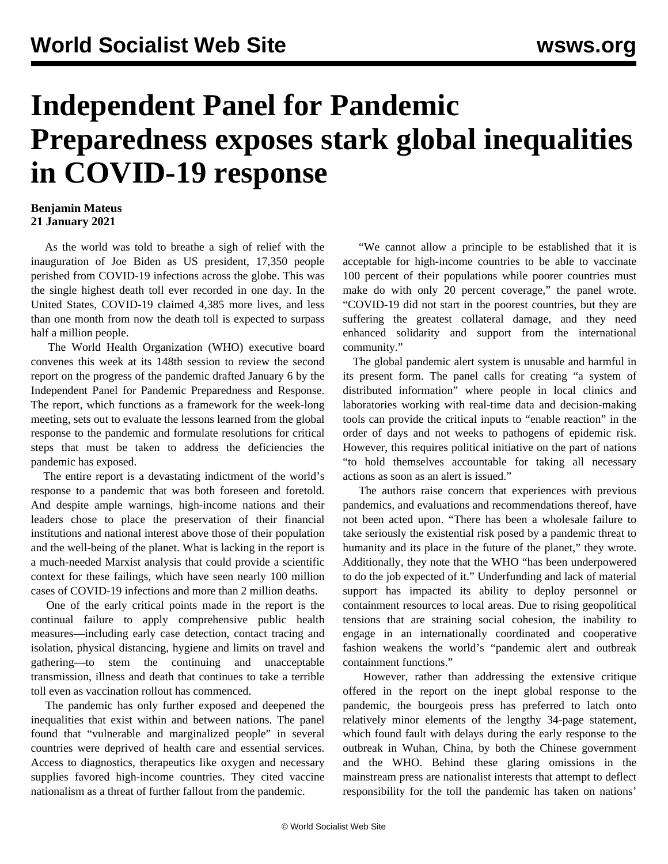## **Independent Panel for Pandemic Preparedness exposes stark global inequalities in COVID-19 response**

## **Benjamin Mateus 21 January 2021**

 As the world was told to breathe a sigh of relief with the inauguration of Joe Biden as US president, 17,350 people perished from COVID-19 infections across the globe. This was the single highest death toll ever recorded in one day. In the United States, COVID-19 claimed 4,385 more lives, and less than one month from now the death toll is expected to surpass half a million people.

 The World Health Organization (WHO) executive board convenes this week at its [148](https://www.who.int/about/governance/executive-board/executive-board-148th-session)th session to review the [second](https://theindependentpanel.org/wp-content/uploads/2021/01/Independent-Panel_Second-Report-on-Progress_Final-15-Jan-2021.pdf) [report on the progress](https://theindependentpanel.org/wp-content/uploads/2021/01/Independent-Panel_Second-Report-on-Progress_Final-15-Jan-2021.pdf) of the pandemic drafted January 6 by the Independent Panel for Pandemic Preparedness and Response. The report, which functions as a framework for the week-long meeting, sets out to evaluate the lessons learned from the global response to the pandemic and formulate resolutions for critical steps that must be taken to address the deficiencies the pandemic has exposed.

 The entire report is a devastating indictment of the world's response to a pandemic that was both foreseen and foretold. And despite ample warnings, high-income nations and their leaders chose to place the preservation of their financial institutions and national interest above those of their population and the well-being of the planet. What is lacking in the report is a much-needed Marxist analysis that could provide a scientific context for these failings, which have seen nearly 100 million cases of COVID-19 infections and more than 2 million deaths.

 One of the early critical points made in the report is the continual failure to apply comprehensive public health measures—including early case detection, contact tracing and isolation, physical distancing, hygiene and limits on travel and gathering—to stem the continuing and unacceptable transmission, illness and death that continues to take a terrible toll even as vaccination rollout has commenced.

 The pandemic has only further exposed and deepened the inequalities that exist within and between nations. The panel found that "vulnerable and marginalized people" in several countries were deprived of health care and essential services. Access to diagnostics, therapeutics like oxygen and necessary supplies favored high-income countries. They cited vaccine nationalism as a threat of further fallout from the pandemic.

 "We cannot allow a principle to be established that it is acceptable for high-income countries to be able to vaccinate 100 percent of their populations while poorer countries must make do with only 20 percent coverage," the panel wrote. "COVID-19 did not start in the poorest countries, but they are suffering the greatest collateral damage, and they need enhanced solidarity and support from the international community."

 The global pandemic alert system is unusable and harmful in its present form. The panel calls for creating "a system of distributed information" where people in local clinics and laboratories working with real-time data and decision-making tools can provide the critical inputs to "enable reaction" in the order of days and not weeks to pathogens of epidemic risk. However, this requires political initiative on the part of nations "to hold themselves accountable for taking all necessary actions as soon as an alert is issued."

 The authors raise concern that experiences with previous pandemics, and evaluations and recommendations thereof, have not been acted upon. "There has been a wholesale failure to take seriously the existential risk posed by a pandemic threat to humanity and its place in the future of the planet," they wrote. Additionally, they note that the WHO "has been underpowered to do the job expected of it." Underfunding and lack of material support has impacted its ability to deploy personnel or containment resources to local areas. Due to rising geopolitical tensions that are straining social cohesion, the inability to engage in an internationally coordinated and cooperative fashion weakens the world's "pandemic alert and outbreak containment functions."

 However, rather than addressing the extensive critique offered in the report on the inept global response to the pandemic, the bourgeois press has preferred to latch onto relatively minor elements of the lengthy 34-page statement, which found fault with delays during the early response to the outbreak in Wuhan, China, by both the Chinese government and the WHO. Behind these glaring omissions in the mainstream press are nationalist interests that attempt to deflect responsibility for the toll the pandemic has taken on nations'